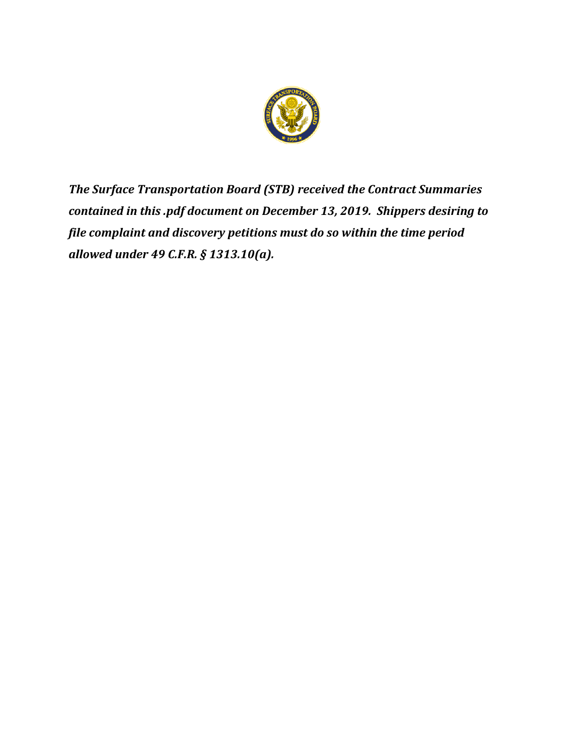

*The Surface Transportation Board (STB) received the Contract Summaries contained in this .pdf document on December 13, 2019. Shippers desiring to file complaint and discovery petitions must do so within the time period allowed under 49 C.F.R. § 1313.10(a).*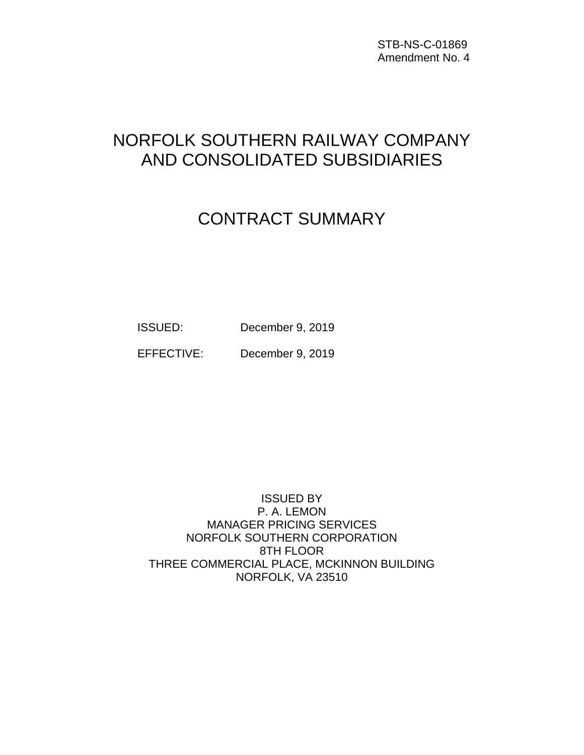STB-NS-C-01869 Amendment No. 4

# NORFOLK SOUTHERN RAILWAY COMPANY AND CONSOLIDATED SUBSIDIARIES

# CONTRACT SUMMARY

ISSUED: December 9, 2019

EFFECTIVE: December 9, 2019

ISSUED BY P. A. LEMON MANAGER PRICING SERVICES NORFOLK SOUTHERN CORPORATION 8TH FLOOR THREE COMMERCIAL PLACE, MCKINNON BUILDING NORFOLK, VA 23510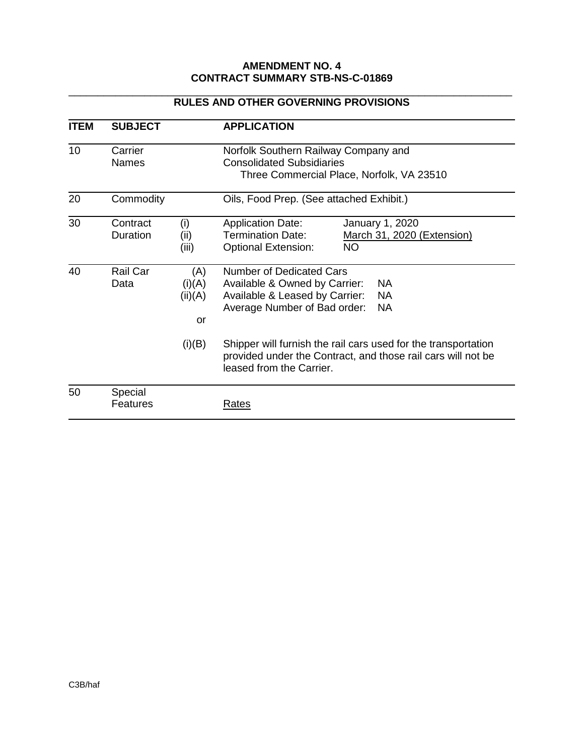#### **AMENDMENT NO. 4 CONTRACT SUMMARY STB-NS-C-01869**

| <b>ITEM</b> | <b>SUBJECT</b>                                                                                      |                                | <b>APPLICATION</b>                                                                                                                                                 |  |
|-------------|-----------------------------------------------------------------------------------------------------|--------------------------------|--------------------------------------------------------------------------------------------------------------------------------------------------------------------|--|
| 10          | Carrier<br>Norfolk Southern Railway Company and<br><b>Consolidated Subsidiaries</b><br><b>Names</b> |                                | Three Commercial Place, Norfolk, VA 23510                                                                                                                          |  |
| 20          | Commodity                                                                                           |                                | Oils, Food Prep. (See attached Exhibit.)                                                                                                                           |  |
| 30          | Contract<br>Duration                                                                                | (i)<br>(ii)<br>(iii)           | <b>Application Date:</b><br>January 1, 2020<br><b>Termination Date:</b><br>March 31, 2020 (Extension)<br><b>NO</b><br><b>Optional Extension:</b>                   |  |
| 40          | Rail Car<br>Data                                                                                    | (A)<br>(i)(A)<br>(ii)(A)<br>or | Number of Dedicated Cars<br>Available & Owned by Carrier:<br><b>NA</b><br>Available & Leased by Carrier:<br><b>NA</b><br>Average Number of Bad order:<br><b>NA</b> |  |
|             |                                                                                                     | (i)(B)                         | Shipper will furnish the rail cars used for the transportation<br>provided under the Contract, and those rail cars will not be<br>leased from the Carrier.         |  |
| 50          | Special<br>Features                                                                                 |                                | Rates                                                                                                                                                              |  |

#### \_\_\_\_\_\_\_\_\_\_\_\_\_\_\_\_\_\_\_\_\_\_\_\_\_\_\_\_\_\_\_\_\_\_\_\_\_\_\_\_\_\_\_\_\_\_\_\_\_\_\_\_\_\_\_\_\_\_\_\_\_\_\_\_\_\_\_\_\_\_\_\_\_\_\_\_ **RULES AND OTHER GOVERNING PROVISIONS**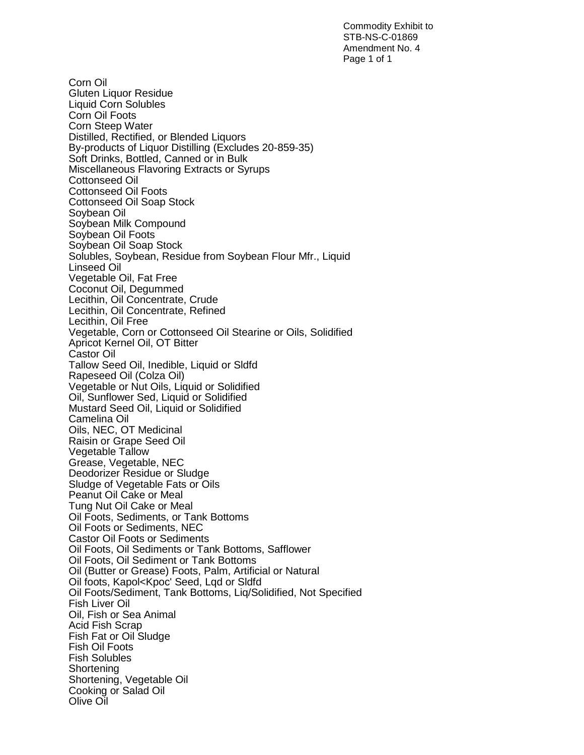Commodity Exhibit to STB-NS-C-01869 Amendment No. 4 Page 1 of 1

Corn Oil Gluten Liquor Residue Liquid Corn Solubles Corn Oil Foots Corn Steep Water Distilled, Rectified, or Blended Liquors By-products of Liquor Distilling (Excludes 20-859-35) Soft Drinks, Bottled, Canned or in Bulk Miscellaneous Flavoring Extracts or Syrups Cottonseed Oil Cottonseed Oil Foots Cottonseed Oil Soap Stock Soybean Oil Soybean Milk Compound Soybean Oil Foots Soybean Oil Soap Stock Solubles, Soybean, Residue from Soybean Flour Mfr., Liquid Linseed Oil Vegetable Oil, Fat Free Coconut Oil, Degummed Lecithin, Oil Concentrate, Crude Lecithin, Oil Concentrate, Refined Lecithin, Oil Free Vegetable, Corn or Cottonseed Oil Stearine or Oils, Solidified Apricot Kernel Oil, OT Bitter Castor Oil Tallow Seed Oil, Inedible, Liquid or Sldfd Rapeseed Oil (Colza Oil) Vegetable or Nut Oils, Liquid or Solidified Oil, Sunflower Sed, Liquid or Solidified Mustard Seed Oil, Liquid or Solidified Camelina Oil Oils, NEC, OT Medicinal Raisin or Grape Seed Oil Vegetable Tallow Grease, Vegetable, NEC Deodorizer Residue or Sludge Sludge of Vegetable Fats or Oils Peanut Oil Cake or Meal Tung Nut Oil Cake or Meal Oil Foots, Sediments, or Tank Bottoms Oil Foots or Sediments, NEC Castor Oil Foots or Sediments Oil Foots, Oil Sediments or Tank Bottoms, Safflower Oil Foots, Oil Sediment or Tank Bottoms Oil (Butter or Grease) Foots, Palm, Artificial or Natural Oil foots, Kapol<Kpoc' Seed, Lqd or Sldfd Oil Foots/Sediment, Tank Bottoms, Liq/Solidified, Not Specified Fish Liver Oil Oil, Fish or Sea Animal Acid Fish Scrap Fish Fat or Oil Sludge Fish Oil Foots Fish Solubles **Shortening** Shortening, Vegetable Oil Cooking or Salad Oil Olive Oil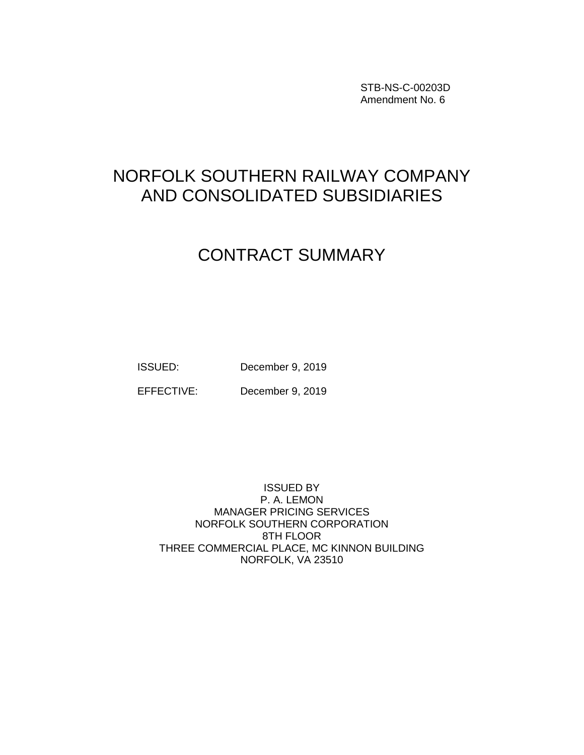STB-NS-C-00203D Amendment No. 6

## NORFOLK SOUTHERN RAILWAY COMPANY AND CONSOLIDATED SUBSIDIARIES

### CONTRACT SUMMARY

ISSUED: December 9, 2019

EFFECTIVE: December 9, 2019

ISSUED BY P. A. LEMON MANAGER PRICING SERVICES NORFOLK SOUTHERN CORPORATION 8TH FLOOR THREE COMMERCIAL PLACE, MC KINNON BUILDING NORFOLK, VA 23510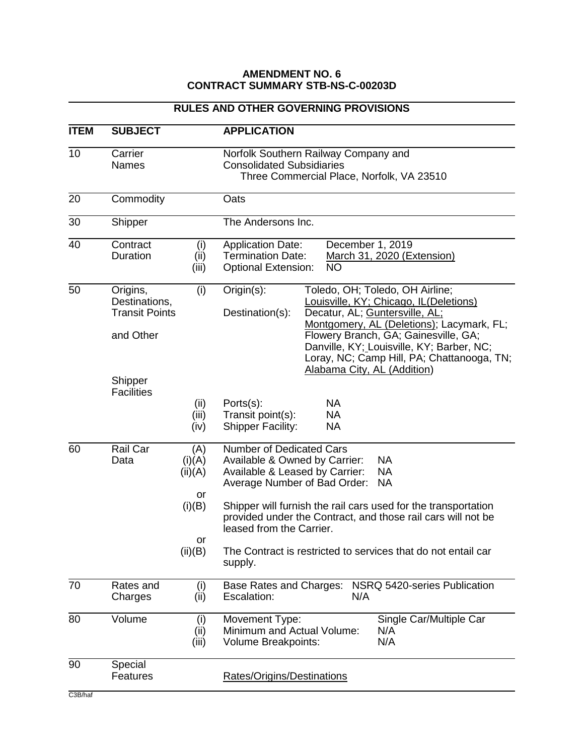#### **AMENDMENT NO. 6 CONTRACT SUMMARY STB-NS-C-00203D**

#### **RULES AND OTHER GOVERNING PROVISIONS ITEM SUBJECT APPLICATION** 10 Carrier Norfolk Southern Railway Company and Names Consolidated Subsidiaries Three Commercial Place, Norfolk, VA 23510 20 Commodity Oats 30 Shipper The Andersons Inc. 40 Contract (i) Application Date: December 1, 2019<br>Duration (ii) Termination Date: March 31, 2020 (E) Duration (ii) Termination Date: March 31, 2020 (Extension) (iii) Optional Extension: NO 50 Origins, (i) Origin(s): Toledo, OH; Toledo, OH Airline; Destinations, **Laurations**, **Louisville, KY**; Chicago, IL(Deletions) Transit Points Destination(s): Decatur, AL; Guntersville, AL; Montgomery, AL (Deletions); Lacymark, FL; and Other **Flowery Branch, GA; Gainesville, GA**; Danville, KY; Louisville, KY; Barber, NC; Loray, NC; Camp Hill, PA; Chattanooga, TN; Alabama City, AL (Addition) Shipper **Facilities** (ii) Ports(s): NA (iii) Transit point(s): NA<br>(iv) Shipper Facility: NA Shipper Facility: 60 Rail Car (A) Number of Dedicated Cars Data (i)(A) Available & Owned by Carrier: NA  $(ii)(A)$  Available & Leased by Carrier: NA Average Number of Bad Order: NA or (i)(B) Shipper will furnish the rail cars used for the transportation provided under the Contract, and those rail cars will not be leased from the Carrier. or (ii)(B) The Contract is restricted to services that do not entail car supply. 70 Rates and (i) Base Rates and Charges: NSRQ 5420-series Publication Charges (ii) Escalation: N/A 80 Volume (i) Movement Type: Single Car/Multiple Car (ii) Minimum and Actual Volume: N/A (iii) Volume Breakpoints: N/A 90 Special Features Rates/Origins/Destinations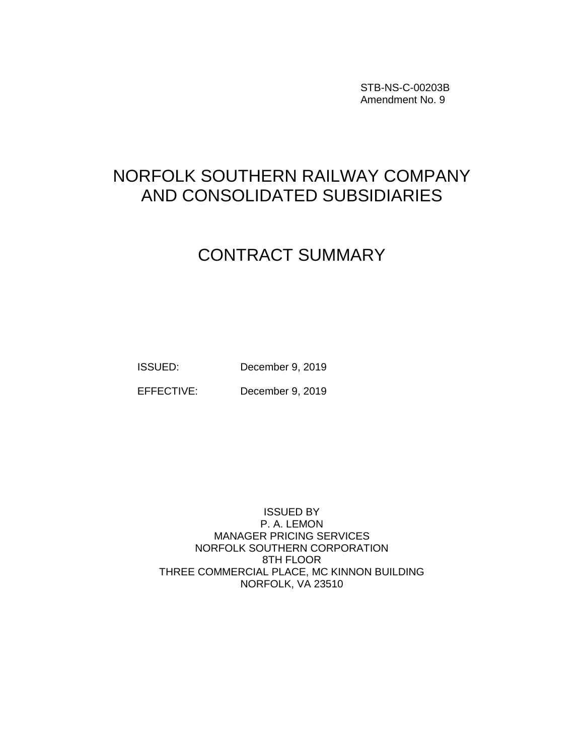STB-NS-C-00203B Amendment No. 9

## NORFOLK SOUTHERN RAILWAY COMPANY AND CONSOLIDATED SUBSIDIARIES

### CONTRACT SUMMARY

ISSUED: December 9, 2019

EFFECTIVE: December 9, 2019

ISSUED BY P. A. LEMON MANAGER PRICING SERVICES NORFOLK SOUTHERN CORPORATION 8TH FLOOR THREE COMMERCIAL PLACE, MC KINNON BUILDING NORFOLK, VA 23510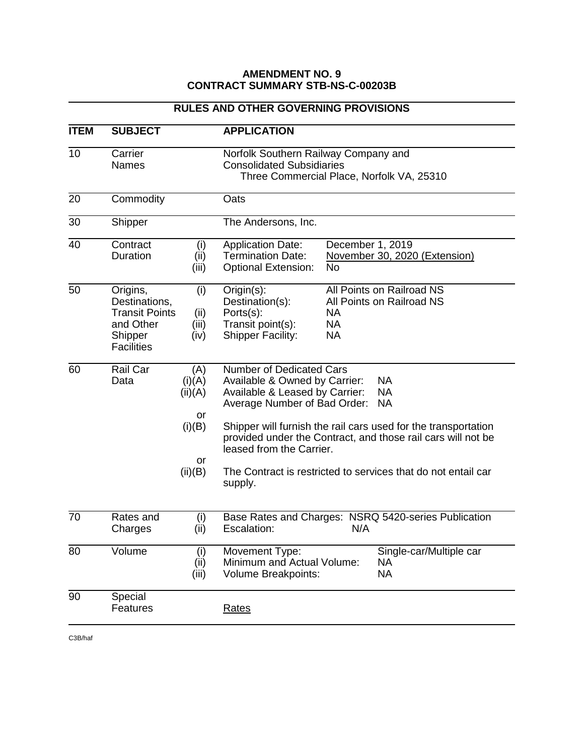#### **AMENDMENT NO. 9 CONTRACT SUMMARY STB-NS-C-00203B**

#### **RULES AND OTHER GOVERNING PROVISIONS**

| <b>ITEM</b> | <b>SUBJECT</b>                                                                                  |                                                           | <b>APPLICATION</b>                                                                                                                                                                                                                                                                                                                                                                                           |  |
|-------------|-------------------------------------------------------------------------------------------------|-----------------------------------------------------------|--------------------------------------------------------------------------------------------------------------------------------------------------------------------------------------------------------------------------------------------------------------------------------------------------------------------------------------------------------------------------------------------------------------|--|
| 10          | Carrier<br><b>Names</b>                                                                         |                                                           | Norfolk Southern Railway Company and<br><b>Consolidated Subsidiaries</b><br>Three Commercial Place, Norfolk VA, 25310                                                                                                                                                                                                                                                                                        |  |
| 20          | Commodity                                                                                       |                                                           | Oats                                                                                                                                                                                                                                                                                                                                                                                                         |  |
| 30          | Shipper                                                                                         |                                                           | The Andersons, Inc.                                                                                                                                                                                                                                                                                                                                                                                          |  |
| 40          | Contract<br>Duration                                                                            | (i)<br>(ii)<br>(iii)                                      | <b>Application Date:</b><br>December 1, 2019<br><b>Termination Date:</b><br>November 30, 2020 (Extension)<br><b>No</b><br><b>Optional Extension:</b>                                                                                                                                                                                                                                                         |  |
| 50          | Origins,<br>Destinations,<br><b>Transit Points</b><br>and Other<br>Shipper<br><b>Facilities</b> | (i)<br>(ii)<br>(iii)<br>(iv)                              | All Points on Railroad NS<br>Origin(s):<br>Destination(s):<br>All Points on Railroad NS<br>Ports(s):<br><b>NA</b><br><b>NA</b><br>Transit point(s):<br><b>Shipper Facility:</b><br><b>NA</b>                                                                                                                                                                                                                 |  |
| 60          | Rail Car<br>Data                                                                                | (A)<br>(i)(A)<br>(ii)(A)<br>or<br>(i)(B)<br>or<br>(ii)(B) | Number of Dedicated Cars<br>Available & Owned by Carrier:<br><b>NA</b><br><b>NA</b><br>Available & Leased by Carrier:<br>Average Number of Bad Order:<br><b>NA</b><br>Shipper will furnish the rail cars used for the transportation<br>provided under the Contract, and those rail cars will not be<br>leased from the Carrier.<br>The Contract is restricted to services that do not entail car<br>supply. |  |
| 70          | Rates and<br>Charges                                                                            | (i)<br>(ii)                                               | Base Rates and Charges: NSRQ 5420-series Publication<br>N/A<br>Escalation:                                                                                                                                                                                                                                                                                                                                   |  |
| 80          | Volume                                                                                          | (i)<br>(ii)<br>(iii)                                      | Movement Type:<br>Single-car/Multiple car<br>Minimum and Actual Volume:<br><b>NA</b><br><b>NA</b><br>Volume Breakpoints:                                                                                                                                                                                                                                                                                     |  |
| 90          | Special<br>Features                                                                             |                                                           | <b>Rates</b>                                                                                                                                                                                                                                                                                                                                                                                                 |  |

C3B/haf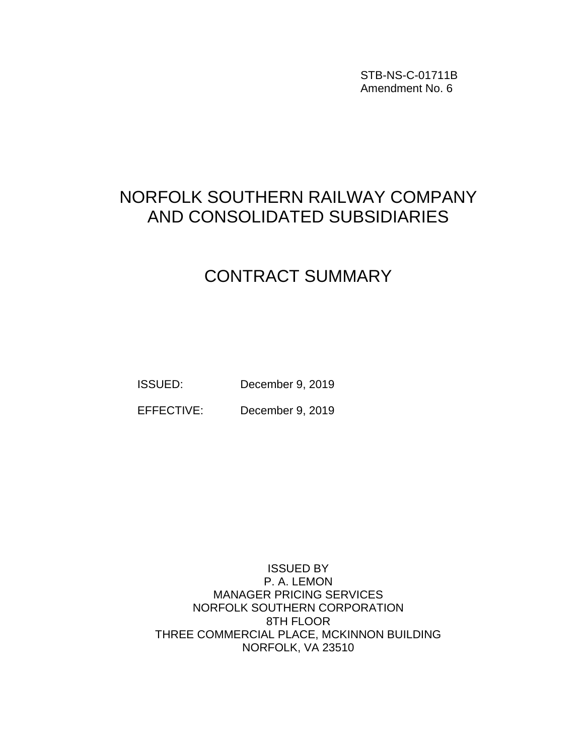STB-NS-C-01711B Amendment No. 6

### NORFOLK SOUTHERN RAILWAY COMPANY AND CONSOLIDATED SUBSIDIARIES

## CONTRACT SUMMARY

ISSUED: December 9, 2019

EFFECTIVE: December 9, 2019

ISSUED BY P. A. LEMON MANAGER PRICING SERVICES NORFOLK SOUTHERN CORPORATION 8TH FLOOR THREE COMMERCIAL PLACE, MCKINNON BUILDING NORFOLK, VA 23510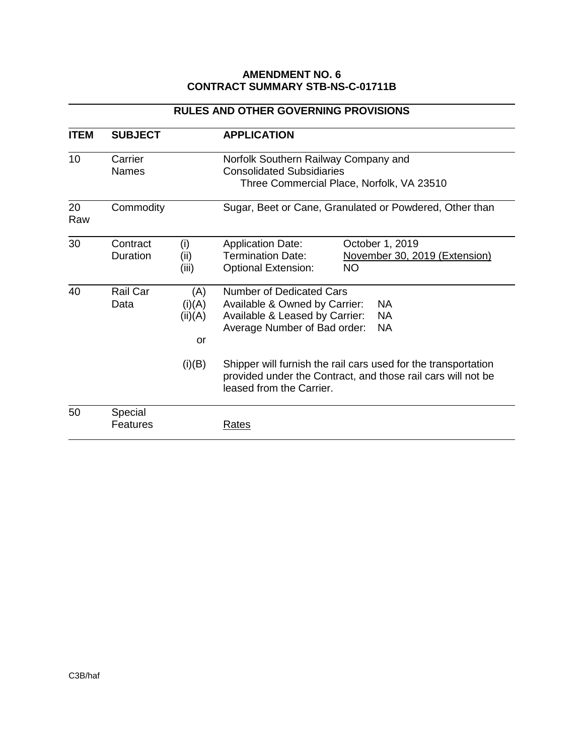#### **AMENDMENT NO. 6 CONTRACT SUMMARY STB-NS-C-01711B**

| <b>ITEM</b> | <b>SUBJECT</b>          |                                          | <b>APPLICATION</b>                                                                                                                                                                                                                                                                             |  |
|-------------|-------------------------|------------------------------------------|------------------------------------------------------------------------------------------------------------------------------------------------------------------------------------------------------------------------------------------------------------------------------------------------|--|
| 10          | Carrier<br><b>Names</b> |                                          | Norfolk Southern Railway Company and<br><b>Consolidated Subsidiaries</b><br>Three Commercial Place, Norfolk, VA 23510                                                                                                                                                                          |  |
| 20<br>Raw   | Commodity               |                                          | Sugar, Beet or Cane, Granulated or Powdered, Other than                                                                                                                                                                                                                                        |  |
| 30          | Contract<br>Duration    | (i)<br>(ii)<br>(iii)                     | <b>Application Date:</b><br>October 1, 2019<br><b>Termination Date:</b><br>November 30, 2019 (Extension)<br><b>NO</b><br><b>Optional Extension:</b>                                                                                                                                            |  |
| 40          | Rail Car<br>Data        | (A)<br>(i)(A)<br>(ii)(A)<br>or<br>(i)(B) | Number of Dedicated Cars<br>Available & Owned by Carrier:<br>NA.<br>Available & Leased by Carrier:<br><b>NA</b><br>Average Number of Bad order:<br><b>NA</b><br>Shipper will furnish the rail cars used for the transportation<br>provided under the Contract, and those rail cars will not be |  |
| 50          | Special<br>Features     |                                          | leased from the Carrier.<br>Rates                                                                                                                                                                                                                                                              |  |

#### **RULES AND OTHER GOVERNING PROVISIONS**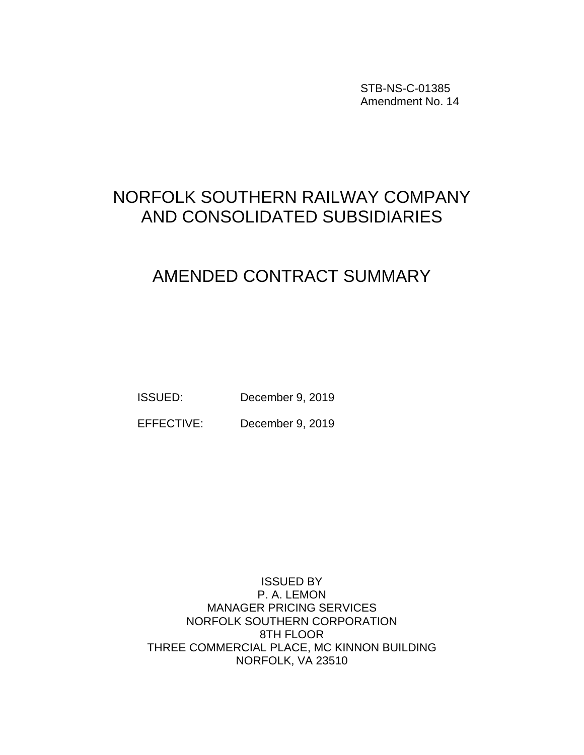STB-NS-C-01385 Amendment No. 14

## NORFOLK SOUTHERN RAILWAY COMPANY AND CONSOLIDATED SUBSIDIARIES

# AMENDED CONTRACT SUMMARY

ISSUED: December 9, 2019

EFFECTIVE: December 9, 2019

ISSUED BY P. A. LEMON MANAGER PRICING SERVICES NORFOLK SOUTHERN CORPORATION 8TH FLOOR THREE COMMERCIAL PLACE, MC KINNON BUILDING NORFOLK, VA 23510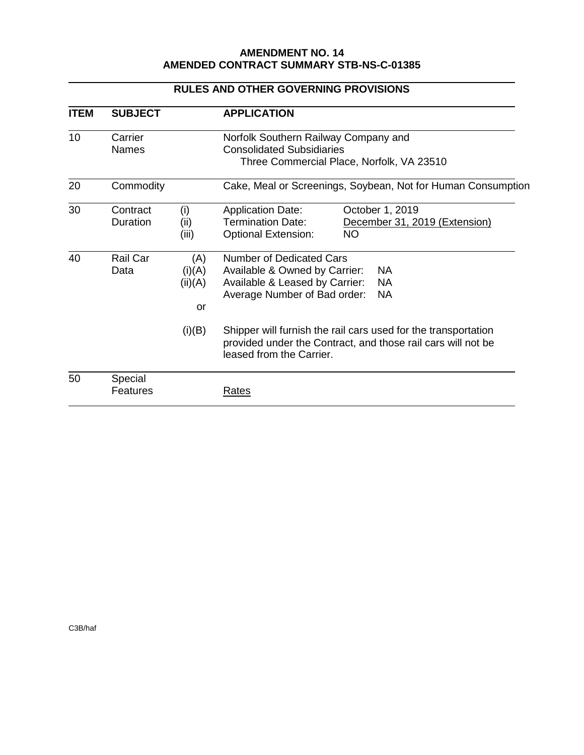#### **AMENDMENT NO. 14 AMENDED CONTRACT SUMMARY STB-NS-C-01385**

| <b>ITEM</b> | <b>SUBJECT</b>                                               |                      | <b>APPLICATION</b>                                                                                                                                                                                                                          |  |
|-------------|--------------------------------------------------------------|----------------------|---------------------------------------------------------------------------------------------------------------------------------------------------------------------------------------------------------------------------------------------|--|
| 10          | Carrier<br><b>Names</b>                                      |                      | Norfolk Southern Railway Company and<br><b>Consolidated Subsidiaries</b><br>Three Commercial Place, Norfolk, VA 23510                                                                                                                       |  |
| 20          | Commodity                                                    |                      | Cake, Meal or Screenings, Soybean, Not for Human Consumption                                                                                                                                                                                |  |
| 30          | Contract<br>Duration                                         | (i)<br>(ii)<br>(iii) | October 1, 2019<br><b>Application Date:</b><br><b>Termination Date:</b><br>December 31, 2019 (Extension)<br><b>Optional Extension:</b><br>NO.                                                                                               |  |
| 40          | Rail Car<br>(A)<br>(i)(A)<br>Data<br>(ii)(A)<br>or<br>(i)(B) |                      | <b>Number of Dedicated Cars</b><br><b>NA</b><br>Available & Owned by Carrier:<br>Available & Leased by Carrier:<br><b>NA</b><br>Average Number of Bad order:<br><b>NA</b><br>Shipper will furnish the rail cars used for the transportation |  |
|             |                                                              |                      | provided under the Contract, and those rail cars will not be<br>leased from the Carrier.                                                                                                                                                    |  |
| 50          | Special<br>Features                                          |                      | <u>Rates</u>                                                                                                                                                                                                                                |  |

#### **RULES AND OTHER GOVERNING PROVISIONS**

C3B/haf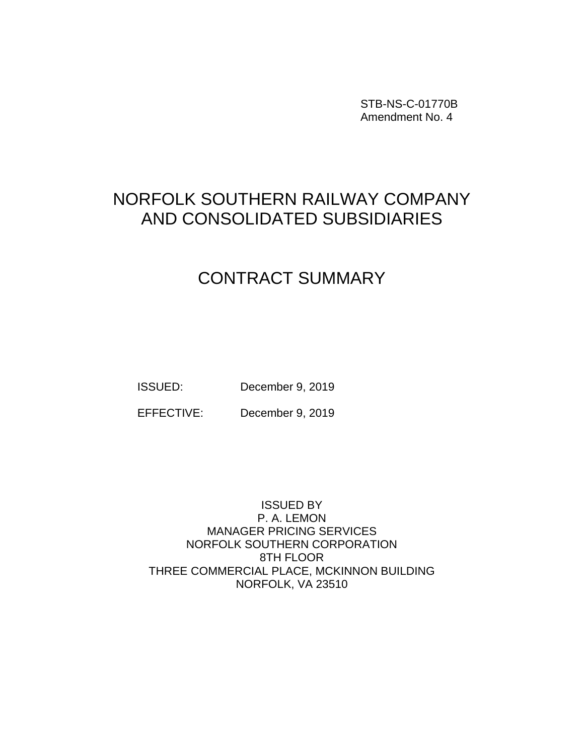STB-NS-C-01770B Amendment No. 4

## NORFOLK SOUTHERN RAILWAY COMPANY AND CONSOLIDATED SUBSIDIARIES

# CONTRACT SUMMARY

ISSUED: December 9, 2019

EFFECTIVE: December 9, 2019

ISSUED BY P. A. LEMON MANAGER PRICING SERVICES NORFOLK SOUTHERN CORPORATION 8TH FLOOR THREE COMMERCIAL PLACE, MCKINNON BUILDING NORFOLK, VA 23510